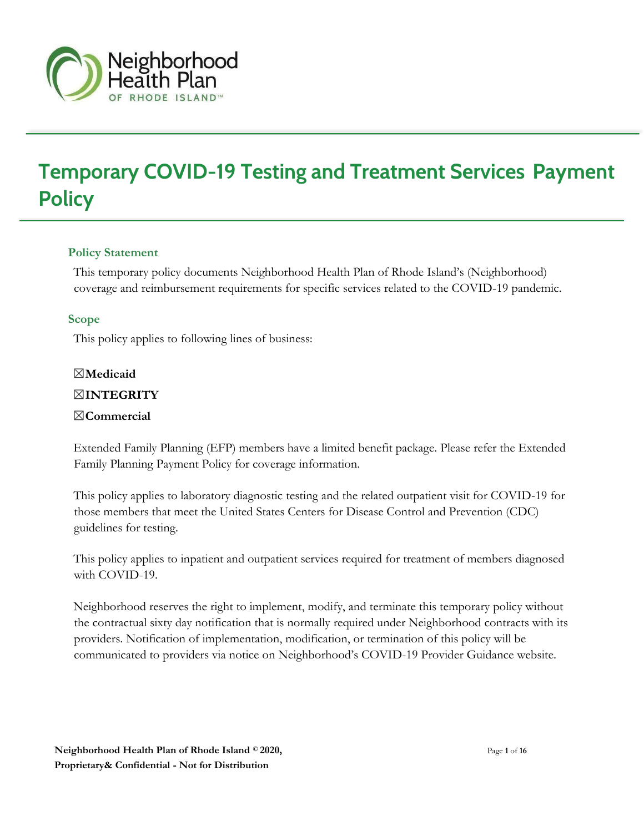

# **Temporary COVID-19 Testing and Treatment Services Payment Policy**

#### **Policy Statement**

This temporary policy documents Neighborhood Health Plan of Rhode Island's (Neighborhood) coverage and reimbursement requirements for specific services related to the COVID-19 pandemic.

#### **Scope**

This policy applies to following lines of business:

# ☒**Medicaid**

#### ☒**INTEGRITY**

#### ☒**Commercial**

Extended Family Planning (EFP) members have a limited benefit package. Please refer the Extended Family Planning Payment Policy for coverage information.

This policy applies to laboratory diagnostic testing and the related outpatient visit for COVID-19 for those members that meet the United States Centers for Disease Control and Prevention (CDC) guidelines for testing.

This policy applies to inpatient and outpatient services required for treatment of members diagnosed with COVID-19.

Neighborhood reserves the right to implement, modify, and terminate this temporary policy without the contractual sixty day notification that is normally required under Neighborhood contracts with its providers. Notification of implementation, modification, or termination of this policy will be communicated to providers via notice on Neighborhood's COVID-19 Provider Guidance website.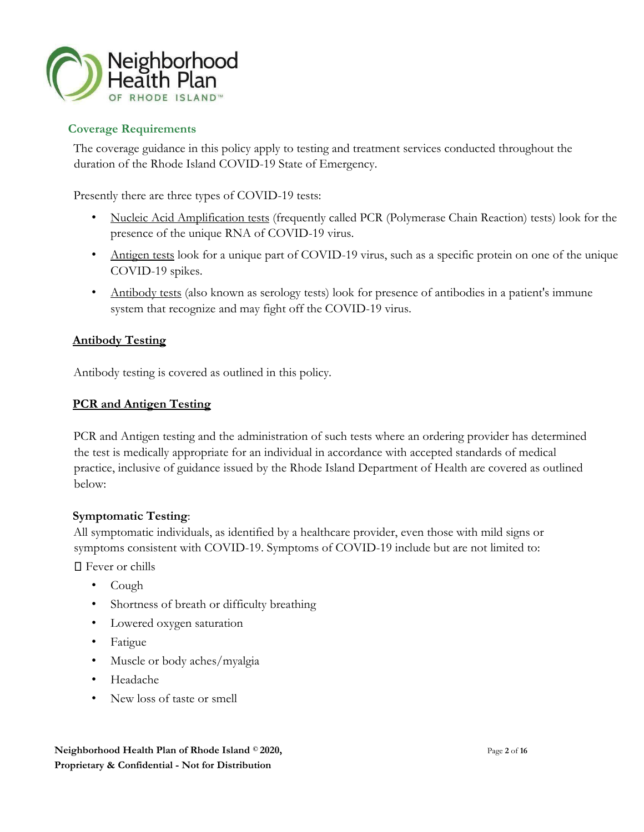

#### **Coverage Requirements**

The coverage guidance in this policy apply to testing and treatment services conducted throughout the duration of the Rhode Island COVID-19 State of Emergency.

Presently there are three types of COVID-19 tests:

- Nucleic Acid Amplification tests (frequently called PCR (Polymerase Chain Reaction) tests) look for the presence of the unique RNA of COVID-19 virus.
- Antigen tests look for a unique part of COVID-19 virus, such as a specific protein on one of the unique COVID-19 spikes.
- Antibody tests (also known as serology tests) look for presence of antibodies in a patient's immune system that recognize and may fight off the COVID-19 virus.

#### **Antibody Testing**

Antibody testing is covered as outlined in this policy.

#### **PCR and Antigen Testing**

PCR and Antigen testing and the administration of such tests where an ordering provider has determined the test is medically appropriate for an individual in accordance with accepted standards of medical practice, inclusive of guidance issued by the Rhode Island Department of Health are covered as outlined below:

#### **Symptomatic Testing**:

All symptomatic individuals, as identified by a healthcare provider, even those with mild signs or symptoms consistent with COVID-19. Symptoms of COVID-19 include but are not limited to:

□ Fever or chills

- Cough
- Shortness of breath or difficulty breathing
- Lowered oxygen saturation
- Fatigue
- Muscle or body aches/myalgia
- Headache
- New loss of taste or smell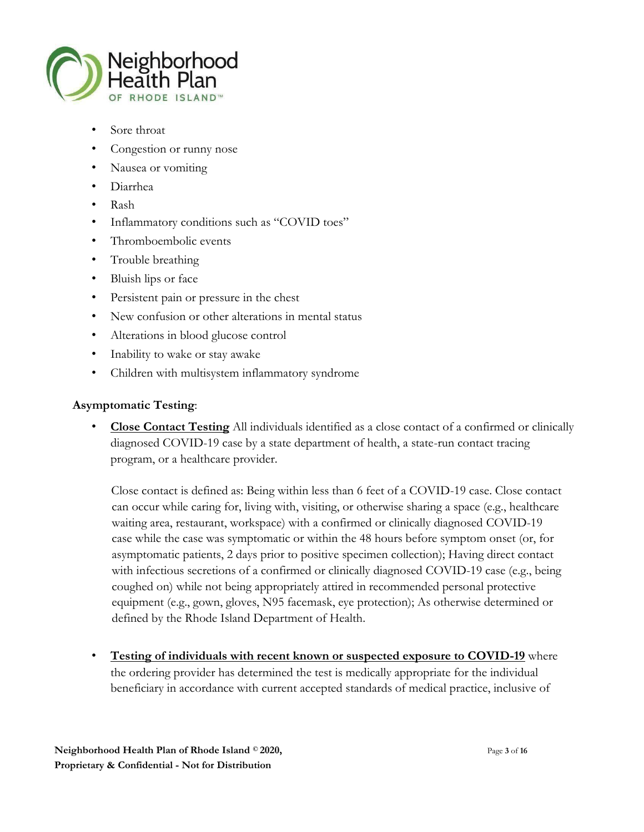

- Sore throat
- Congestion or runny nose
- Nausea or vomiting
- Diarrhea
- Rash
- Inflammatory conditions such as "COVID toes"
- Thromboembolic events
- Trouble breathing
- Bluish lips or face
- Persistent pain or pressure in the chest
- New confusion or other alterations in mental status
- Alterations in blood glucose control
- Inability to wake or stay awake
- Children with multisystem inflammatory syndrome

#### **Asymptomatic Testing**:

• **Close Contact Testing** All individuals identified as a close contact of a confirmed or clinically diagnosed COVID-19 case by a state department of health, a state-run contact tracing program, or a healthcare provider.

Close contact is defined as: Being within less than 6 feet of a COVID-19 case. Close contact can occur while caring for, living with, visiting, or otherwise sharing a space (e.g., healthcare waiting area, restaurant, workspace) with a confirmed or clinically diagnosed COVID-19 case while the case was symptomatic or within the 48 hours before symptom onset (or, for asymptomatic patients, 2 days prior to positive specimen collection); Having direct contact with infectious secretions of a confirmed or clinically diagnosed COVID-19 case (e.g., being coughed on) while not being appropriately attired in recommended personal protective equipment (e.g., gown, gloves, N95 facemask, eye protection); As otherwise determined or defined by the Rhode Island Department of Health.

**Testing of individuals with recent known or suspected exposure to COVID-19** where the ordering provider has determined the test is medically appropriate for the individual beneficiary in accordance with current accepted standards of medical practice, inclusive of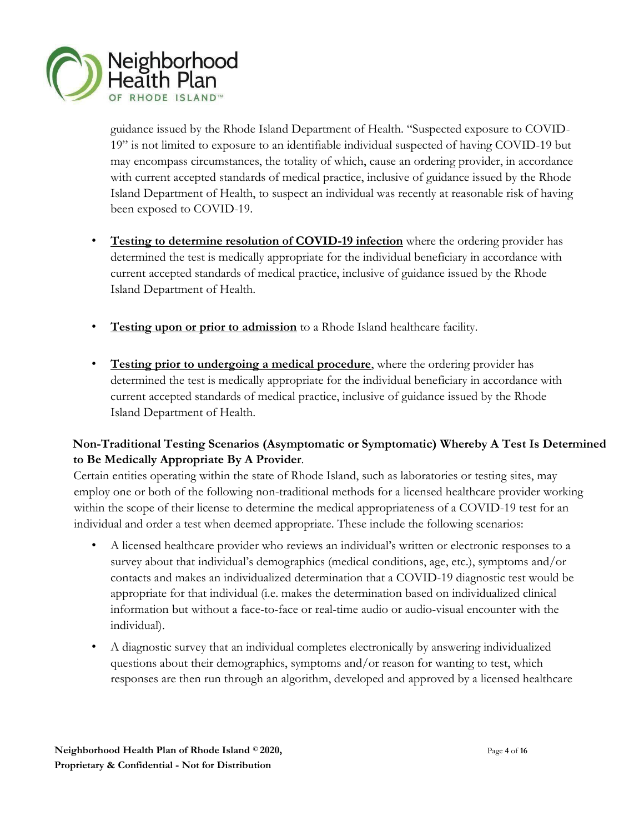

guidance issued by the Rhode Island Department of Health. "Suspected exposure to COVID-19" is not limited to exposure to an identifiable individual suspected of having COVID-19 but may encompass circumstances, the totality of which, cause an ordering provider, in accordance with current accepted standards of medical practice, inclusive of guidance issued by the Rhode Island Department of Health, to suspect an individual was recently at reasonable risk of having been exposed to COVID-19.

- **Testing to determine resolution of COVID-19 infection** where the ordering provider has determined the test is medically appropriate for the individual beneficiary in accordance with current accepted standards of medical practice, inclusive of guidance issued by the Rhode Island Department of Health.
- **Testing upon or prior to admission** to a Rhode Island healthcare facility.
- **Testing prior to undergoing a medical procedure**, where the ordering provider has determined the test is medically appropriate for the individual beneficiary in accordance with current accepted standards of medical practice, inclusive of guidance issued by the Rhode Island Department of Health.

## **Non-Traditional Testing Scenarios (Asymptomatic or Symptomatic) Whereby A Test Is Determined to Be Medically Appropriate By A Provider**.

Certain entities operating within the state of Rhode Island, such as laboratories or testing sites, may employ one or both of the following non-traditional methods for a licensed healthcare provider working within the scope of their license to determine the medical appropriateness of a COVID-19 test for an individual and order a test when deemed appropriate. These include the following scenarios:

- A licensed healthcare provider who reviews an individual's written or electronic responses to a survey about that individual's demographics (medical conditions, age, etc.), symptoms and/or contacts and makes an individualized determination that a COVID-19 diagnostic test would be appropriate for that individual (i.e. makes the determination based on individualized clinical information but without a face-to-face or real-time audio or audio-visual encounter with the individual).
- A diagnostic survey that an individual completes electronically by answering individualized questions about their demographics, symptoms and/or reason for wanting to test, which responses are then run through an algorithm, developed and approved by a licensed healthcare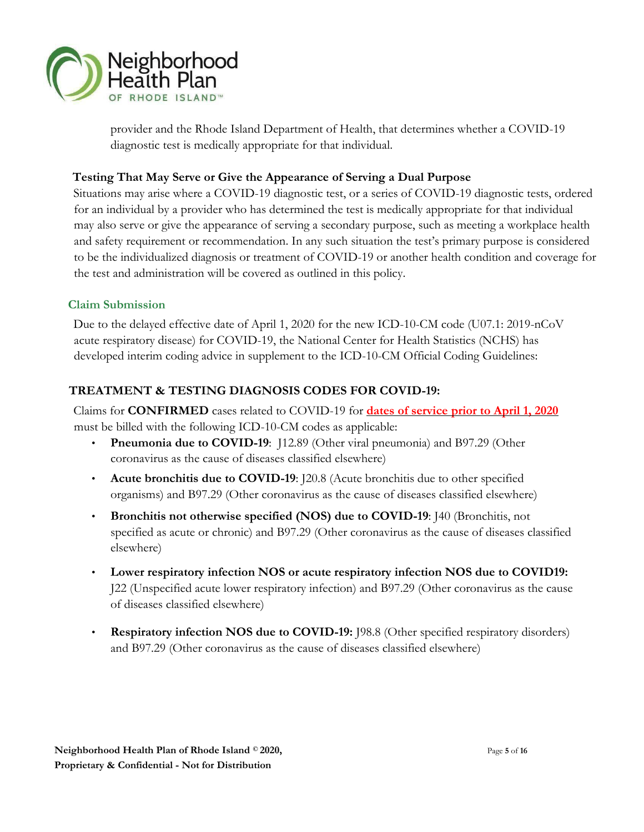

provider and the Rhode Island Department of Health, that determines whether a COVID-19 diagnostic test is medically appropriate for that individual.

### **Testing That May Serve or Give the Appearance of Serving a Dual Purpose**

Situations may arise where a COVID-19 diagnostic test, or a series of COVID-19 diagnostic tests, ordered for an individual by a provider who has determined the test is medically appropriate for that individual may also serve or give the appearance of serving a secondary purpose, such as meeting a workplace health and safety requirement or recommendation. In any such situation the test's primary purpose is considered to be the individualized diagnosis or treatment of COVID-19 or another health condition and coverage for the test and administration will be covered as outlined in this policy.

#### **Claim Submission**

Due to the delayed effective date of April 1, 2020 for the new ICD-10-CM code (U07.1: 2019-nCoV acute respiratory disease) for COVID-19, the National Center for Health Statistics (NCHS) has developed interim coding advice in supplement to the ICD-10-CM Official Coding Guidelines:

# **TREATMENT & TESTING DIAGNOSIS CODES FOR COVID-19:**

Claims for **CONFIRMED** cases related to COVID-19 for **dates of service prior to April 1, 2020** must be billed with the following ICD-10-CM codes as applicable:

- **Pneumonia due to COVID-19**: J12.89 (Other viral pneumonia) and B97.29 (Other coronavirus as the cause of diseases classified elsewhere)
- **Acute bronchitis due to COVID-19**: J20.8 (Acute bronchitis due to other specified organisms) and B97.29 (Other coronavirus as the cause of diseases classified elsewhere)
- **Bronchitis not otherwise specified (NOS) due to COVID-19**: J40 (Bronchitis, not specified as acute or chronic) and B97.29 (Other coronavirus as the cause of diseases classified elsewhere)
- **Lower respiratory infection NOS or acute respiratory infection NOS due to COVID19:** J22 (Unspecified acute lower respiratory infection) and B97.29 (Other coronavirus as the cause of diseases classified elsewhere)
- **Respiratory infection NOS due to COVID-19:** J98.8 (Other specified respiratory disorders) and B97.29 (Other coronavirus as the cause of diseases classified elsewhere)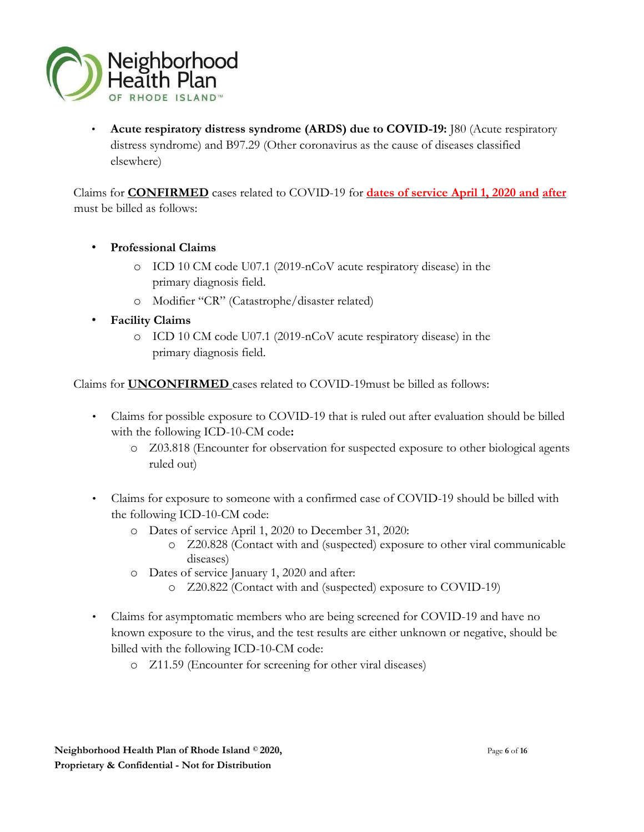

• **Acute respiratory distress syndrome (ARDS) due to COVID-19:** J80 (Acute respiratory distress syndrome) and B97.29 (Other coronavirus as the cause of diseases classified elsewhere)

Claims for **CONFIRMED** cases related to COVID-19 for **dates of service April 1, 2020 and after** must be billed as follows:

- **Professional Claims** 
	- o ICD 10 CM code U07.1 (2019-nCoV acute respiratory disease) in the primary diagnosis field.
	- o Modifier "CR" (Catastrophe/disaster related)
- **Facility Claims**
	- o ICD 10 CM code U07.1 (2019-nCoV acute respiratory disease) in the primary diagnosis field.

Claims for **UNCONFIRMED** cases related to COVID-19must be billed as follows:

- Claims for possible exposure to COVID-19 that is ruled out after evaluation should be billed with the following ICD-10-CM code**:**
	- o Z03.818 (Encounter for observation for suspected exposure to other biological agents ruled out)
- Claims for exposure to someone with a confirmed case of COVID-19 should be billed with the following ICD-10-CM code:
	- o Dates of service April 1, 2020 to December 31, 2020:
		- o Z20.828 (Contact with and (suspected) exposure to other viral communicable diseases)
	- o Dates of service January 1, 2020 and after:
		- o Z20.822 (Contact with and (suspected) exposure to COVID-19)
- Claims for asymptomatic members who are being screened for COVID-19 and have no known exposure to the virus, and the test results are either unknown or negative, should be billed with the following ICD-10-CM code:
	- o Z11.59 (Encounter for screening for other viral diseases)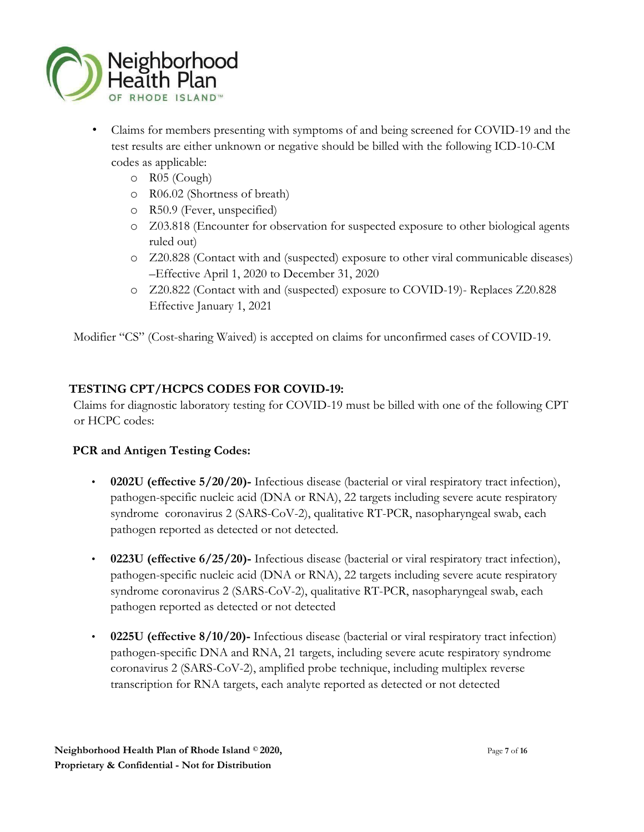

- Claims for members presenting with symptoms of and being screened for COVID-19 and the test results are either unknown or negative should be billed with the following ICD-10-CM codes as applicable:
	- o R05 (Cough)
	- o R06.02 (Shortness of breath)
	- o R50.9 (Fever, unspecified)
	- o Z03.818 (Encounter for observation for suspected exposure to other biological agents ruled out)
	- o Z20.828 (Contact with and (suspected) exposure to other viral communicable diseases) –Effective April 1, 2020 to December 31, 2020
	- o Z20.822 (Contact with and (suspected) exposure to COVID-19)- Replaces Z20.828 Effective January 1, 2021

Modifier "CS" (Cost-sharing Waived) is accepted on claims for unconfirmed cases of COVID-19.

# **TESTING CPT/HCPCS CODES FOR COVID-19:**

Claims for diagnostic laboratory testing for COVID-19 must be billed with one of the following CPT or HCPC codes:

# **PCR and Antigen Testing Codes:**

- **0202U (effective 5/20/20)-** Infectious disease (bacterial or viral respiratory tract infection), pathogen-specific nucleic acid (DNA or RNA), 22 targets including severe acute respiratory syndrome coronavirus 2 (SARS-CoV-2), qualitative RT-PCR, nasopharyngeal swab, each pathogen reported as detected or not detected.
- **0223U (effective 6/25/20)-** Infectious disease (bacterial or viral respiratory tract infection), pathogen-specific nucleic acid (DNA or RNA), 22 targets including severe acute respiratory syndrome coronavirus 2 (SARS-CoV-2), qualitative RT-PCR, nasopharyngeal swab, each pathogen reported as detected or not detected
- **0225U (effective 8/10/20)-** Infectious disease (bacterial or viral respiratory tract infection) pathogen-specific DNA and RNA, 21 targets, including severe acute respiratory syndrome coronavirus 2 (SARS-CoV-2), amplified probe technique, including multiplex reverse transcription for RNA targets, each analyte reported as detected or not detected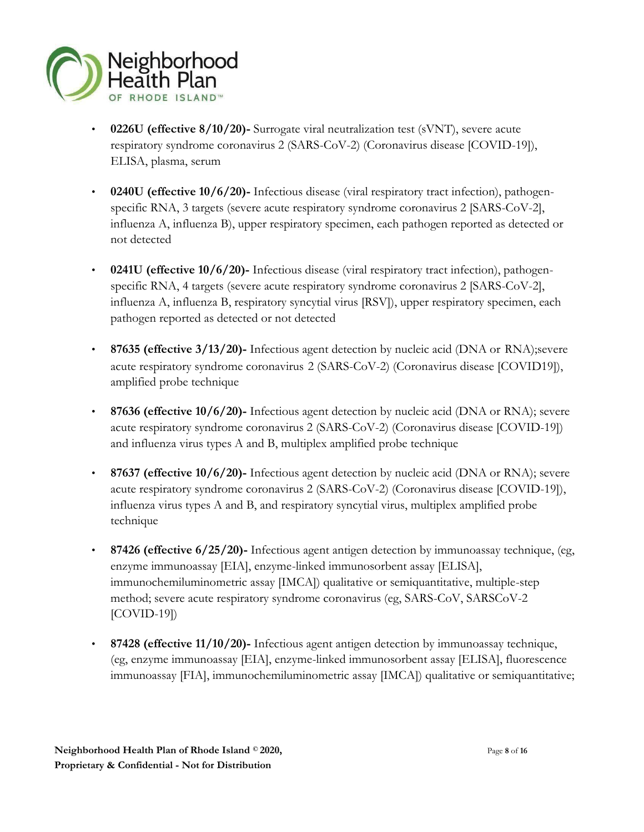

- **0226U (effective 8/10/20)-** Surrogate viral neutralization test (sVNT), severe acute respiratory syndrome coronavirus 2 (SARS-CoV-2) (Coronavirus disease [COVID-19]), ELISA, plasma, serum
- **0240U (effective 10/6/20)-** Infectious disease (viral respiratory tract infection), pathogenspecific RNA, 3 targets (severe acute respiratory syndrome coronavirus 2 [SARS-CoV-2], influenza A, influenza B), upper respiratory specimen, each pathogen reported as detected or not detected
- **0241U (effective 10/6/20)-** Infectious disease (viral respiratory tract infection), pathogenspecific RNA, 4 targets (severe acute respiratory syndrome coronavirus 2 [SARS-CoV-2], influenza A, influenza B, respiratory syncytial virus [RSV]), upper respiratory specimen, each pathogen reported as detected or not detected
- **87635 (effective 3/13/20)-** Infectious agent detection by nucleic acid (DNA or RNA);severe acute respiratory syndrome coronavirus 2 (SARS-CoV-2) (Coronavirus disease [COVID19]), amplified probe technique
- **87636 (effective 10/6/20)-** Infectious agent detection by nucleic acid (DNA or RNA); severe acute respiratory syndrome coronavirus 2 (SARS-CoV-2) (Coronavirus disease [COVID-19]) and influenza virus types A and B, multiplex amplified probe technique
- **87637 (effective 10/6/20)-** Infectious agent detection by nucleic acid (DNA or RNA); severe acute respiratory syndrome coronavirus 2 (SARS-CoV-2) (Coronavirus disease [COVID-19]), influenza virus types A and B, and respiratory syncytial virus, multiplex amplified probe technique
- **87426 (effective 6/25/20)-** Infectious agent antigen detection by immunoassay technique, (eg, enzyme immunoassay [EIA], enzyme-linked immunosorbent assay [ELISA], immunochemiluminometric assay [IMCA]) qualitative or semiquantitative, multiple-step method; severe acute respiratory syndrome coronavirus (eg, SARS-CoV, SARSCoV-2 [COVID-19])
- **87428 (effective 11/10/20)-** Infectious agent antigen detection by immunoassay technique, (eg, enzyme immunoassay [EIA], enzyme-linked immunosorbent assay [ELISA], fluorescence immunoassay [FIA], immunochemiluminometric assay [IMCA]) qualitative or semiquantitative;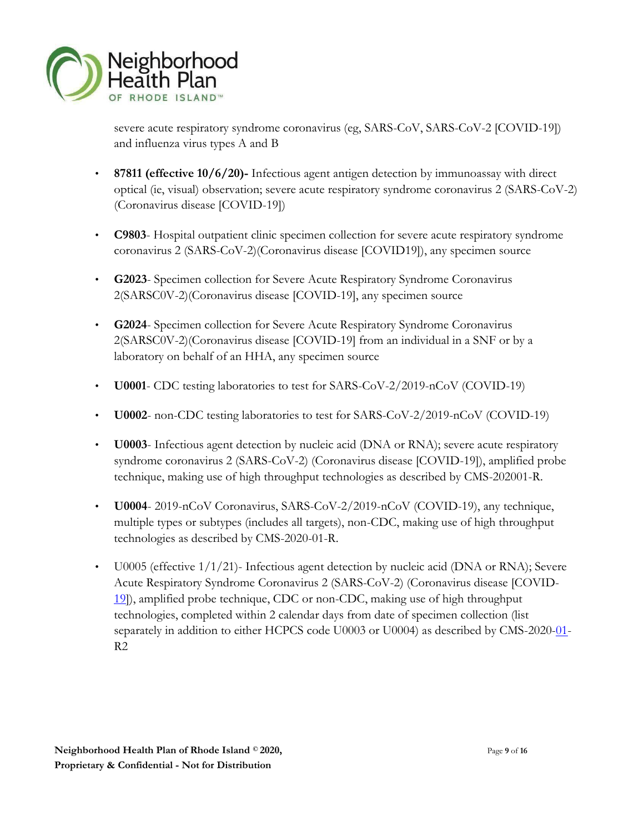

severe acute respiratory syndrome coronavirus (eg, SARS-CoV, SARS-CoV-2 [COVID-19]) and influenza virus types A and B

- **87811 (effective 10/6/20)-** Infectious agent antigen detection by immunoassay with direct optical (ie, visual) observation; severe acute respiratory syndrome coronavirus 2 (SARS-CoV-2) (Coronavirus disease [COVID-19])
- **C9803** Hospital outpatient clinic specimen collection for severe acute respiratory syndrome coronavirus 2 (SARS-CoV-2)(Coronavirus disease [COVID19]), any specimen source
- **G2023** Specimen collection for Severe Acute Respiratory Syndrome Coronavirus 2(SARSC0V-2)(Coronavirus disease [COVID-19], any specimen source
- **G2024** Specimen collection for Severe Acute Respiratory Syndrome Coronavirus 2(SARSC0V-2)(Coronavirus disease [COVID-19] from an individual in a SNF or by a laboratory on behalf of an HHA, any specimen source
- **U0001** CDC testing laboratories to test for SARS-CoV-2/2019-nCoV (COVID-19)
- **U0002** non-CDC testing laboratories to test for SARS-CoV-2/2019-nCoV (COVID-19)
- **U0003** Infectious agent detection by nucleic acid (DNA or RNA); severe acute respiratory syndrome coronavirus 2 (SARS-CoV-2) (Coronavirus disease [COVID-19]), amplified probe technique, making use of high throughput technologies as described by CMS-202001-R.
- **U0004** 2019-nCoV Coronavirus, SARS-CoV-2/2019-nCoV (COVID-19), any technique, multiple types or subtypes (includes all targets), non-CDC, making use of high throughput technologies as described by CMS-2020-01-R.
- U0005 (effective 1/1/21)- Infectious agent detection by nucleic acid (DNA or RNA); Severe Acute Respiratory Syndrome Coronavirus 2 (SARS-CoV-2) (Coronavirus disease [COVID-[19](https://www.encoderpro.com/epro/i9v3Handler.do?_k=104*19&_a=view)]), amplified probe technique, CDC or non-CDC, making use of high throughput technologies, completed within 2 calendar days from date of specimen collection (list separately in addition to either HCPCS code U0003 or U0004) as described by CMS-202[0-01](https://www.encoderpro.com/epro/i9v3Handler.do?_k=104*01&_a=view)- R2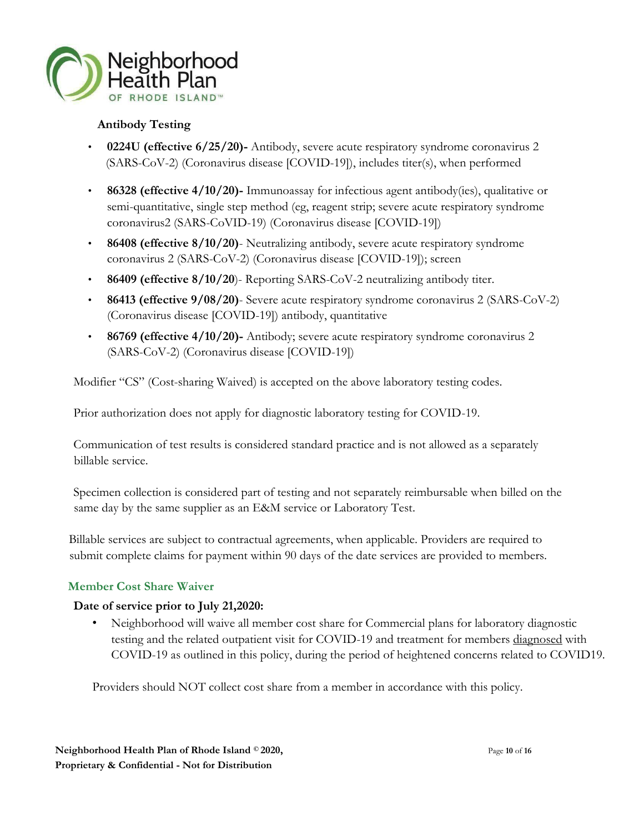

#### **Antibody Testing**

- **0224U (effective 6/25/20)-** Antibody, severe acute respiratory syndrome coronavirus 2 (SARS-CoV-2) (Coronavirus disease [COVID-19]), includes titer(s), when performed
- **86328 (effective 4/10/20)-** Immunoassay for infectious agent antibody(ies), qualitative or semi-quantitative, single step method (eg, reagent strip; severe acute respiratory syndrome coronavirus2 (SARS-CoVID-19) (Coronavirus disease [COVID-19])
- **86408 (effective 8/10/20)** Neutralizing antibody, severe acute respiratory syndrome coronavirus 2 (SARS-CoV-2) (Coronavirus disease [COVID-19]); screen
- **86409 (effective 8/10/20**)- Reporting SARS-CoV-2 neutralizing antibody titer.
- **86413 (effective 9/08/20)** Severe acute respiratory syndrome coronavirus 2 (SARS-CoV-2) (Coronavirus disease [COVID-19]) antibody, quantitative
- **86769 (effective 4/10/20)-** Antibody; severe acute respiratory syndrome coronavirus 2 (SARS-CoV-2) (Coronavirus disease [COVID-19])

Modifier "CS" (Cost-sharing Waived) is accepted on the above laboratory testing codes.

Prior authorization does not apply for diagnostic laboratory testing for COVID-19.

Communication of test results is considered standard practice and is not allowed as a separately billable service.

Specimen collection is considered part of testing and not separately reimbursable when billed on the same day by the same supplier as an E&M service or Laboratory Test.

Billable services are subject to contractual agreements, when applicable. Providers are required to submit complete claims for payment within 90 days of the date services are provided to members.

# **Member Cost Share Waiver**

#### **Date of service prior to July 21,2020:**

• Neighborhood will waive all member cost share for Commercial plans for laboratory diagnostic testing and the related outpatient visit for COVID-19 and treatment for members diagnosed with COVID-19 as outlined in this policy, during the period of heightened concerns related to COVID19.

Providers should NOT collect cost share from a member in accordance with this policy.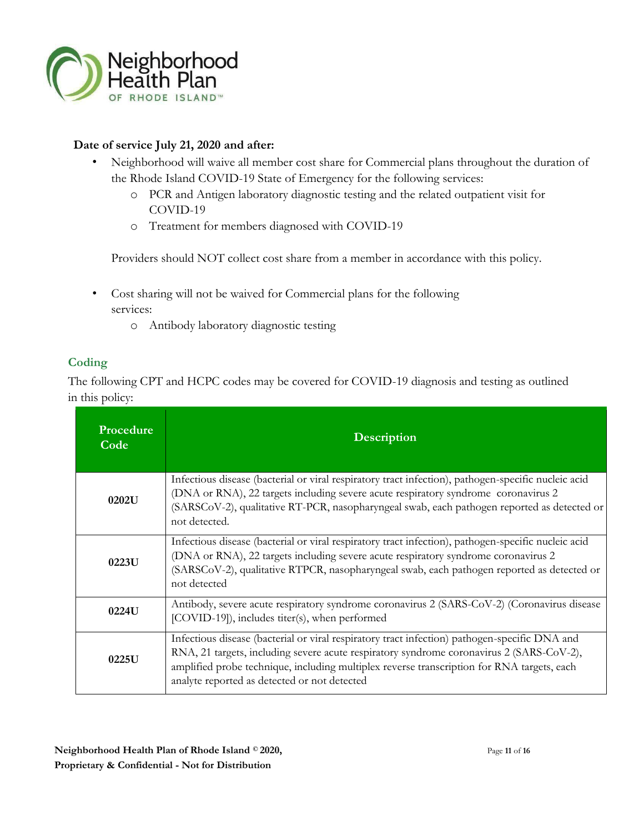

#### **Date of service July 21, 2020 and after:**

- Neighborhood will waive all member cost share for Commercial plans throughout the duration of the Rhode Island COVID-19 State of Emergency for the following services:
	- o PCR and Antigen laboratory diagnostic testing and the related outpatient visit for COVID-19
	- o Treatment for members diagnosed with COVID-19

Providers should NOT collect cost share from a member in accordance with this policy.

- Cost sharing will not be waived for Commercial plans for the following services:
	- o Antibody laboratory diagnostic testing

#### **Coding**

The following CPT and HCPC codes may be covered for COVID-19 diagnosis and testing as outlined in this policy:

| Procedure<br>Code | <b>Description</b>                                                                                                                                                                                                                                                                                                                      |
|-------------------|-----------------------------------------------------------------------------------------------------------------------------------------------------------------------------------------------------------------------------------------------------------------------------------------------------------------------------------------|
| 0202U             | Infectious disease (bacterial or viral respiratory tract infection), pathogen-specific nucleic acid<br>(DNA or RNA), 22 targets including severe acute respiratory syndrome coronavirus 2<br>(SARSCoV-2), qualitative RT-PCR, nasopharyngeal swab, each pathogen reported as detected or<br>not detected.                               |
| 0223U             | Infectious disease (bacterial or viral respiratory tract infection), pathogen-specific nucleic acid<br>(DNA or RNA), 22 targets including severe acute respiratory syndrome coronavirus 2<br>(SARSCoV-2), qualitative RTPCR, nasopharyngeal swab, each pathogen reported as detected or<br>not detected                                 |
| 0224U             | Antibody, severe acute respiratory syndrome coronavirus 2 (SARS-CoV-2) (Coronavirus disease<br>[COVID-19]), includes titer(s), when performed                                                                                                                                                                                           |
| 0225U             | Infectious disease (bacterial or viral respiratory tract infection) pathogen-specific DNA and<br>RNA, 21 targets, including severe acute respiratory syndrome coronavirus 2 (SARS-CoV-2),<br>amplified probe technique, including multiplex reverse transcription for RNA targets, each<br>analyte reported as detected or not detected |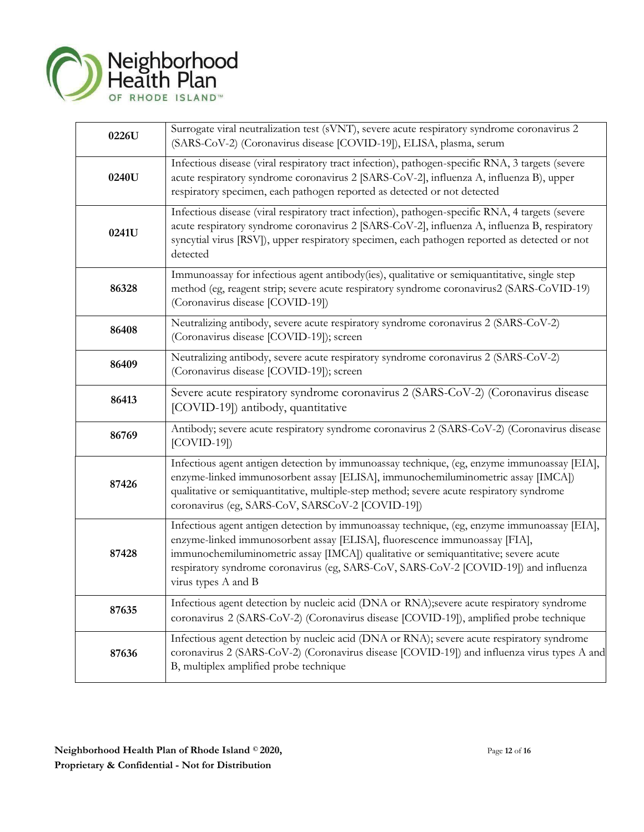

| 0226U | Surrogate viral neutralization test (sVNT), severe acute respiratory syndrome coronavirus 2<br>(SARS-CoV-2) (Coronavirus disease [COVID-19]), ELISA, plasma, serum                                                                                                                                                                                                              |
|-------|---------------------------------------------------------------------------------------------------------------------------------------------------------------------------------------------------------------------------------------------------------------------------------------------------------------------------------------------------------------------------------|
| 0240U | Infectious disease (viral respiratory tract infection), pathogen-specific RNA, 3 targets (severe<br>acute respiratory syndrome coronavirus 2 [SARS-CoV-2], influenza A, influenza B), upper<br>respiratory specimen, each pathogen reported as detected or not detected                                                                                                         |
| 0241U | Infectious disease (viral respiratory tract infection), pathogen-specific RNA, 4 targets (severe<br>acute respiratory syndrome coronavirus 2 [SARS-CoV-2], influenza A, influenza B, respiratory<br>syncytial virus [RSV]), upper respiratory specimen, each pathogen reported as detected or not<br>detected                                                                   |
| 86328 | Immunoassay for infectious agent antibody(ies), qualitative or semiquantitative, single step<br>method (eg, reagent strip; severe acute respiratory syndrome coronavirus2 (SARS-CoVID-19)<br>(Coronavirus disease [COVID-19])                                                                                                                                                   |
| 86408 | Neutralizing antibody, severe acute respiratory syndrome coronavirus 2 (SARS-CoV-2)<br>(Coronavirus disease [COVID-19]); screen                                                                                                                                                                                                                                                 |
| 86409 | Neutralizing antibody, severe acute respiratory syndrome coronavirus 2 (SARS-CoV-2)<br>(Coronavirus disease [COVID-19]); screen                                                                                                                                                                                                                                                 |
| 86413 | Severe acute respiratory syndrome coronavirus 2 (SARS-CoV-2) (Coronavirus disease<br>[COVID-19]) antibody, quantitative                                                                                                                                                                                                                                                         |
| 86769 | Antibody; severe acute respiratory syndrome coronavirus 2 (SARS-CoV-2) (Coronavirus disease<br>$[COVID-19]$                                                                                                                                                                                                                                                                     |
| 87426 | Infectious agent antigen detection by immunoassay technique, (eg, enzyme immunoassay [EIA],<br>enzyme-linked immunosorbent assay [ELISA], immunochemiluminometric assay [IMCA])<br>qualitative or semiquantitative, multiple-step method; severe acute respiratory syndrome<br>coronavirus (eg, SARS-CoV, SARSCoV-2 [COVID-19])                                                 |
| 87428 | Infectious agent antigen detection by immunoassay technique, (eg, enzyme immunoassay [EIA],<br>enzyme-linked immunosorbent assay [ELISA], fluorescence immunoassay [FIA],<br>immunochemiluminometric assay [IMCA]) qualitative or semiquantitative; severe acute<br>respiratory syndrome coronavirus (eg, SARS-CoV, SARS-CoV-2 [COVID-19]) and influenza<br>virus types A and B |
| 87635 | Infectious agent detection by nucleic acid (DNA or RNA);severe acute respiratory syndrome<br>coronavirus 2 (SARS-CoV-2) (Coronavirus disease [COVID-19]), amplified probe technique                                                                                                                                                                                             |
| 87636 | Infectious agent detection by nucleic acid (DNA or RNA); severe acute respiratory syndrome<br>coronavirus 2 (SARS-CoV-2) (Coronavirus disease [COVID-19]) and influenza virus types A and<br>B, multiplex amplified probe technique                                                                                                                                             |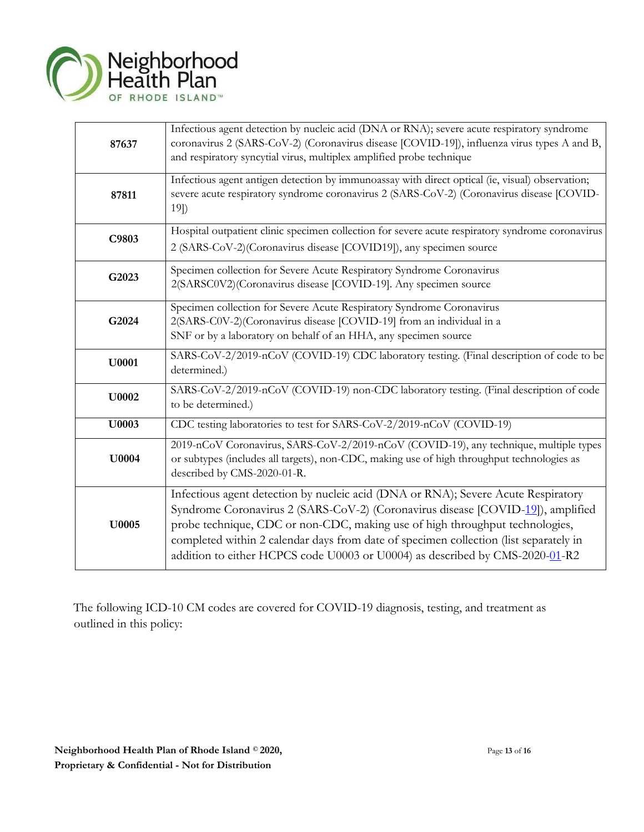

| 87637        | Infectious agent detection by nucleic acid (DNA or RNA); severe acute respiratory syndrome<br>coronavirus 2 (SARS-CoV-2) (Coronavirus disease [COVID-19]), influenza virus types A and B,<br>and respiratory syncytial virus, multiplex amplified probe technique                                                                                                                                                             |
|--------------|-------------------------------------------------------------------------------------------------------------------------------------------------------------------------------------------------------------------------------------------------------------------------------------------------------------------------------------------------------------------------------------------------------------------------------|
| 87811        | Infectious agent antigen detection by immunoassay with direct optical (ie, visual) observation;<br>severe acute respiratory syndrome coronavirus 2 (SARS-CoV-2) (Coronavirus disease [COVID-<br>$19$ )                                                                                                                                                                                                                        |
| C9803        | Hospital outpatient clinic specimen collection for severe acute respiratory syndrome coronavirus<br>2 (SARS-CoV-2)(Coronavirus disease [COVID19]), any specimen source                                                                                                                                                                                                                                                        |
| G2023        | Specimen collection for Severe Acute Respiratory Syndrome Coronavirus<br>2(SARSC0V2)(Coronavirus disease [COVID-19]. Any specimen source                                                                                                                                                                                                                                                                                      |
| G2024        | Specimen collection for Severe Acute Respiratory Syndrome Coronavirus<br>2(SARS-C0V-2)(Coronavirus disease [COVID-19] from an individual in a<br>SNF or by a laboratory on behalf of an HHA, any specimen source                                                                                                                                                                                                              |
| U0001        | SARS-CoV-2/2019-nCoV (COVID-19) CDC laboratory testing. (Final description of code to be<br>determined.)                                                                                                                                                                                                                                                                                                                      |
| U0002        | SARS-CoV-2/2019-nCoV (COVID-19) non-CDC laboratory testing. (Final description of code<br>to be determined.)                                                                                                                                                                                                                                                                                                                  |
| U0003        | CDC testing laboratories to test for SARS-CoV-2/2019-nCoV (COVID-19)                                                                                                                                                                                                                                                                                                                                                          |
| <b>U0004</b> | 2019-nCoV Coronavirus, SARS-CoV-2/2019-nCoV (COVID-19), any technique, multiple types<br>or subtypes (includes all targets), non-CDC, making use of high throughput technologies as<br>described by CMS-2020-01-R.                                                                                                                                                                                                            |
| <b>U0005</b> | Infectious agent detection by nucleic acid (DNA or RNA); Severe Acute Respiratory<br>Syndrome Coronavirus 2 (SARS-CoV-2) (Coronavirus disease [COVID-19]), amplified<br>probe technique, CDC or non-CDC, making use of high throughput technologies,<br>completed within 2 calendar days from date of specimen collection (list separately in<br>addition to either HCPCS code U0003 or U0004) as described by CMS-2020-01-R2 |

The following ICD-10 CM codes are covered for COVID-19 diagnosis, testing, and treatment as outlined in this policy: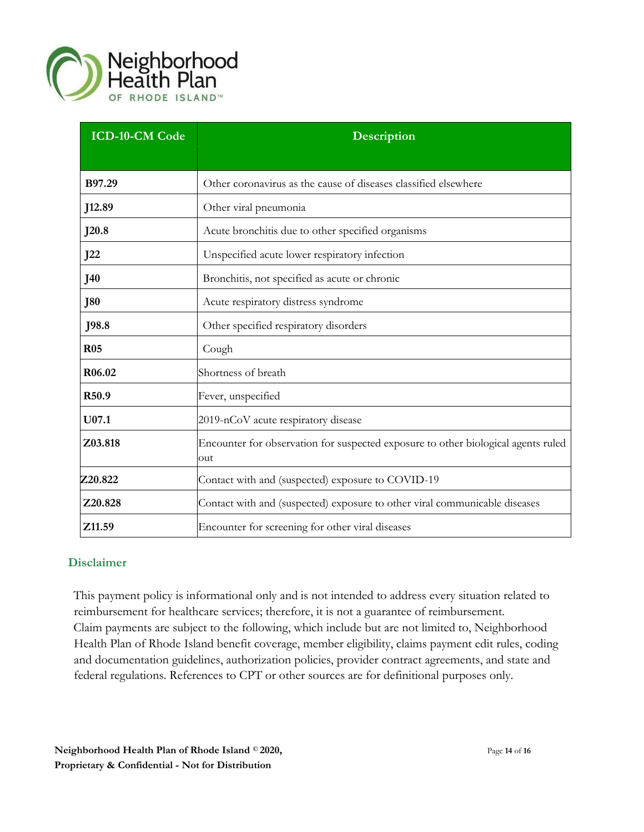

| <b>ICD-10-CM Code</b> | Description                                                                              |
|-----------------------|------------------------------------------------------------------------------------------|
|                       |                                                                                          |
| B97.29                | Other coronavirus as the cause of diseases classified elsewhere                          |
| J12.89                | Other viral pneumonia                                                                    |
| J20.8                 | Acute bronchitis due to other specified organisms                                        |
| J22                   | Unspecified acute lower respiratory infection                                            |
| <b>J40</b>            | Bronchitis, not specified as acute or chronic                                            |
| <b>J80</b>            | Acute respiratory distress syndrome                                                      |
| J98.8                 | Other specified respiratory disorders                                                    |
| <b>R05</b>            | Cough                                                                                    |
| R06.02                | Shortness of breath                                                                      |
| R50.9                 | Fever, unspecified                                                                       |
| $U$ 07.1              | 2019-nCoV acute respiratory disease                                                      |
| Z03.818               | Encounter for observation for suspected exposure to other biological agents ruled<br>out |
| Z20.822               | Contact with and (suspected) exposure to COVID-19                                        |
| Z20.828               | Contact with and (suspected) exposure to other viral communicable diseases               |
| Z11.59                | Encounter for screening for other viral diseases                                         |

#### **Disclaimer**

This payment policy is informational only and is not intended to address every situation related to reimbursement for healthcare services; therefore, it is not a guarantee of reimbursement. Claim payments are subject to the following, which include but are not limited to, Neighborhood Health Plan of Rhode Island benefit coverage, member eligibility, claims payment edit rules, coding and documentation guidelines, authorization policies, provider contract agreements, and state and federal regulations. References to CPT or other sources are for definitional purposes only.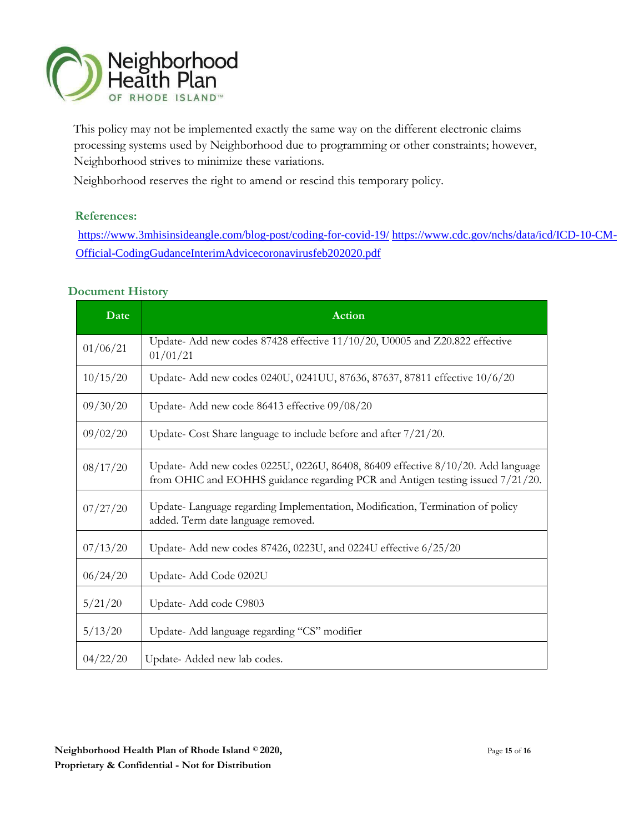

This policy may not be implemented exactly the same way on the different electronic claims processing systems used by Neighborhood due to programming or other constraints; however, Neighborhood strives to minimize these variations.

Neighborhood reserves the right to amend or rescind this temporary policy.

#### **References:**

<https://www.3mhisinsideangle.com/blog-post/coding-for-covid-19/> [https://www.cdc.gov/nchs/da](https://www.3mhisinsideangle.com/blog-post/coding-for-covid-19/)[ta/icd/ICD-10-CM-](https://www.cdc.gov/nchs/data/icd/ICD-10-CM-Official-Coding-Gudance-Interim-Advice-coronavirus-feb-20-2020.pdf)[Official-CodingGudanceInterimAdvicecoronavirusfeb202020.pdf](https://www.cdc.gov/nchs/data/icd/ICD-10-CM-Official-Coding-Gudance-Interim-Advice-coronavirus-feb-20-2020.pdf)

#### **Document History**

| Date     | <b>Action</b>                                                                                                                                                      |
|----------|--------------------------------------------------------------------------------------------------------------------------------------------------------------------|
| 01/06/21 | Update-Add new codes 87428 effective 11/10/20, U0005 and Z20.822 effective<br>01/01/21                                                                             |
| 10/15/20 | Update- Add new codes 0240U, 0241UU, 87636, 87637, 87811 effective 10/6/20                                                                                         |
| 09/30/20 | Update- Add new code 86413 effective 09/08/20                                                                                                                      |
| 09/02/20 | Update- Cost Share language to include before and after 7/21/20.                                                                                                   |
| 08/17/20 | Update- Add new codes 0225U, 0226U, 86408, 86409 effective 8/10/20. Add language<br>from OHIC and EOHHS guidance regarding PCR and Antigen testing issued 7/21/20. |
| 07/27/20 | Update-Language regarding Implementation, Modification, Termination of policy<br>added. Term date language removed.                                                |
| 07/13/20 | Update- Add new codes 87426, 0223U, and 0224U effective 6/25/20                                                                                                    |
| 06/24/20 | Update- Add Code 0202U                                                                                                                                             |
| 5/21/20  | Update-Add code C9803                                                                                                                                              |
| 5/13/20  | Update- Add language regarding "CS" modifier                                                                                                                       |
| 04/22/20 | Update-Added new lab codes.                                                                                                                                        |